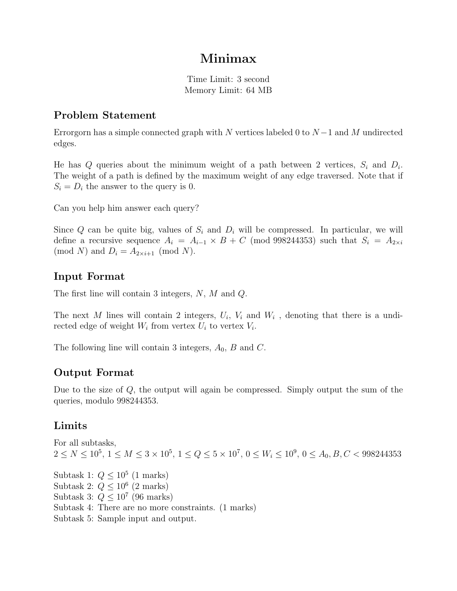## Minimax

Time Limit: 3 second Memory Limit: 64 MB

#### Problem Statement

Errorgorn has a simple connected graph with N vertices labeled 0 to  $N-1$  and M undirected edges.

He has  $Q$  queries about the minimum weight of a path between 2 vertices,  $S_i$  and  $D_i$ . The weight of a path is defined by the maximum weight of any edge traversed. Note that if  $S_i = D_i$  the answer to the query is 0.

Can you help him answer each query?

Since Q can be quite big, values of  $S_i$  and  $D_i$  will be compressed. In particular, we will define a recursive sequence  $A_i = A_{i-1} \times B + C$  (mod 998244353) such that  $S_i = A_{2 \times i}$ (mod N) and  $D_i = A_{2 \times i+1} \pmod{N}$ .

#### Input Format

The first line will contain 3 integers, N, M and Q.

The next M lines will contain 2 integers,  $U_i$ ,  $V_i$  and  $W_i$ , denoting that there is a undirected edge of weight  $W_i$  from vertex  $U_i$  to vertex  $V_i$ .

The following line will contain 3 integers,  $A_0$ ,  $B$  and  $C$ .

#### Output Format

Due to the size of  $Q$ , the output will again be compressed. Simply output the sum of the queries, modulo 998244353.

### Limits

For all subtasks,  $2 \le N \le 10^5$ ,  $1 \le M \le 3 \times 10^5$ ,  $1 \le Q \le 5 \times 10^7$ ,  $0 \le W_i \le 10^9$ ,  $0 \le A_0, B, C < 998244353$ 

Subtask 1:  $Q \leq 10^5$  (1 marks) Subtask 2:  $Q \leq 10^6$  (2 marks) Subtask 3:  $Q \leq 10^7$  (96 marks) Subtask 4: There are no more constraints. (1 marks) Subtask 5: Sample input and output.